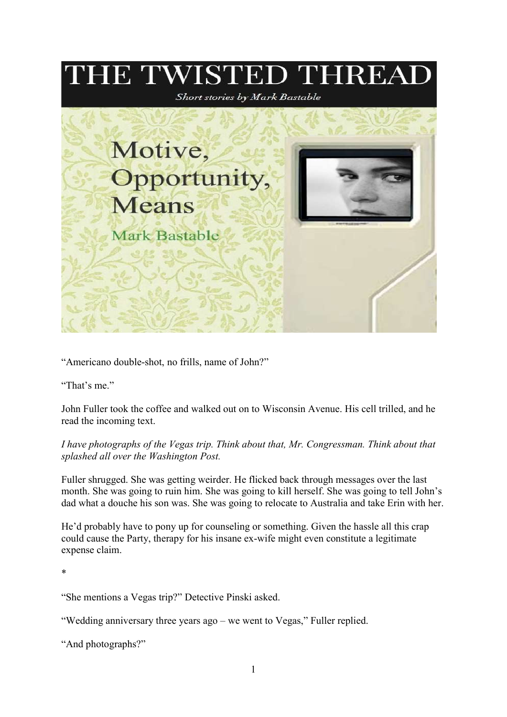## THE TWISTED THREAI Short stories by Mark Bastable Motive, Opportunity, **Means Mark Bastable**

"Americano double-shot, no frills, name of John?"

"That's me."

John Fuller took the coffee and walked out on to Wisconsin Avenue. His cell trilled, and he read the incoming text.

## I have photographs of the Vegas trip. Think about that, Mr. Congressman. Think about that splashed all over the Washington Post.

Fuller shrugged. She was getting weirder. He flicked back through messages over the last month. She was going to ruin him. She was going to kill herself. She was going to tell John's dad what a douche his son was. She was going to relocate to Australia and take Erin with her.

He'd probably have to pony up for counseling or something. Given the hassle all this crap could cause the Party, therapy for his insane ex-wife might even constitute a legitimate expense claim.

\*

"She mentions a Vegas trip?" Detective Pinski asked.

"Wedding anniversary three years ago – we went to Vegas," Fuller replied.

"And photographs?"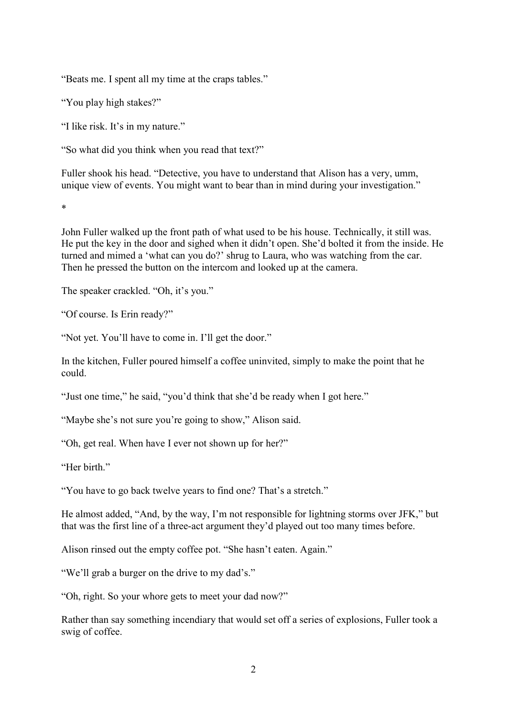"Beats me. I spent all my time at the craps tables."

"You play high stakes?"

"I like risk. It's in my nature."

"So what did you think when you read that text?"

Fuller shook his head. "Detective, you have to understand that Alison has a very, umm, unique view of events. You might want to bear than in mind during your investigation."

\*

John Fuller walked up the front path of what used to be his house. Technically, it still was. He put the key in the door and sighed when it didn't open. She'd bolted it from the inside. He turned and mimed a 'what can you do?' shrug to Laura, who was watching from the car. Then he pressed the button on the intercom and looked up at the camera.

The speaker crackled. "Oh, it's you."

"Of course. Is Erin ready?"

"Not yet. You'll have to come in. I'll get the door."

In the kitchen, Fuller poured himself a coffee uninvited, simply to make the point that he could.

"Just one time," he said, "you'd think that she'd be ready when I got here."

"Maybe she's not sure you're going to show," Alison said.

"Oh, get real. When have I ever not shown up for her?"

"Her hirth"

"You have to go back twelve years to find one? That's a stretch."

He almost added, "And, by the way, I'm not responsible for lightning storms over JFK," but that was the first line of a three-act argument they'd played out too many times before.

Alison rinsed out the empty coffee pot. "She hasn't eaten. Again."

"We'll grab a burger on the drive to my dad's."

"Oh, right. So your whore gets to meet your dad now?"

Rather than say something incendiary that would set off a series of explosions, Fuller took a swig of coffee.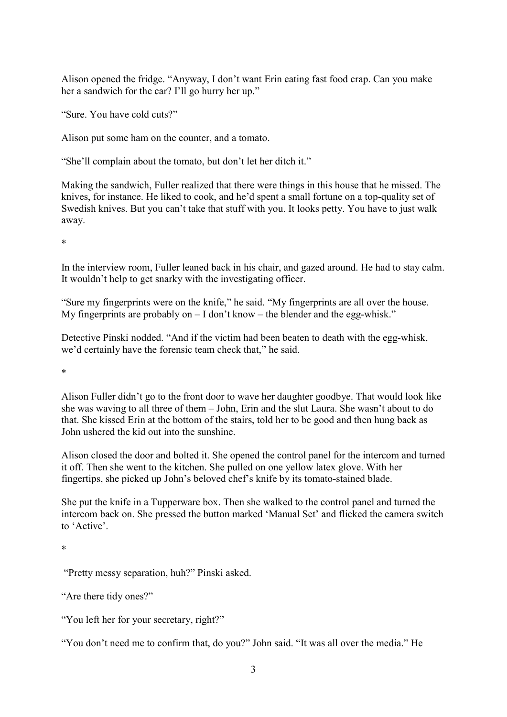Alison opened the fridge. "Anyway, I don't want Erin eating fast food crap. Can you make her a sandwich for the car? I'll go hurry her up."

"Sure. You have cold cuts?"

Alison put some ham on the counter, and a tomato.

"She'll complain about the tomato, but don't let her ditch it."

Making the sandwich, Fuller realized that there were things in this house that he missed. The knives, for instance. He liked to cook, and he'd spent a small fortune on a top-quality set of Swedish knives. But you can't take that stuff with you. It looks petty. You have to just walk away.

\*

In the interview room, Fuller leaned back in his chair, and gazed around. He had to stay calm. It wouldn't help to get snarky with the investigating officer.

"Sure my fingerprints were on the knife," he said. "My fingerprints are all over the house. My fingerprints are probably on  $-1$  don't know  $-$  the blender and the egg-whisk."

Detective Pinski nodded. "And if the victim had been beaten to death with the egg-whisk, we'd certainly have the forensic team check that," he said.

\*

Alison Fuller didn't go to the front door to wave her daughter goodbye. That would look like she was waving to all three of them – John, Erin and the slut Laura. She wasn't about to do that. She kissed Erin at the bottom of the stairs, told her to be good and then hung back as John ushered the kid out into the sunshine.

Alison closed the door and bolted it. She opened the control panel for the intercom and turned it off. Then she went to the kitchen. She pulled on one yellow latex glove. With her fingertips, she picked up John's beloved chef's knife by its tomato-stained blade.

She put the knife in a Tupperware box. Then she walked to the control panel and turned the intercom back on. She pressed the button marked 'Manual Set' and flicked the camera switch to 'Active'.

\*

"Pretty messy separation, huh?" Pinski asked.

"Are there tidy ones?"

"You left her for your secretary, right?"

"You don't need me to confirm that, do you?" John said. "It was all over the media." He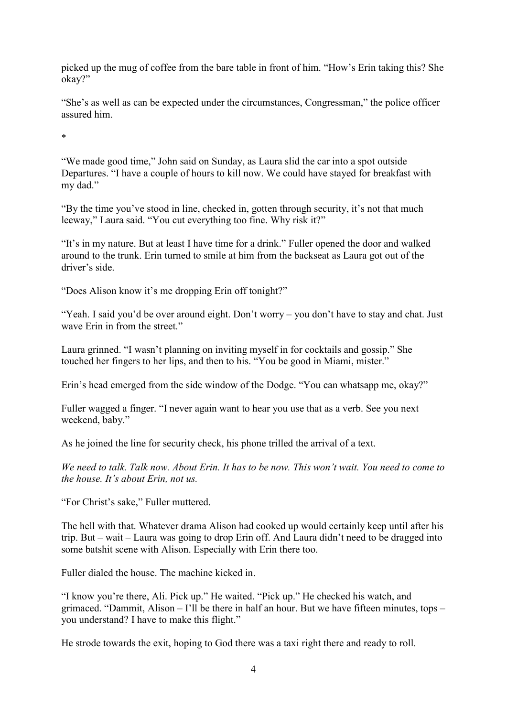picked up the mug of coffee from the bare table in front of him. "How's Erin taking this? She okay?"

"She's as well as can be expected under the circumstances, Congressman," the police officer assured him.

\*

"We made good time," John said on Sunday, as Laura slid the car into a spot outside Departures. "I have a couple of hours to kill now. We could have stayed for breakfast with my dad."

"By the time you've stood in line, checked in, gotten through security, it's not that much leeway," Laura said. "You cut everything too fine. Why risk it?"

"It's in my nature. But at least I have time for a drink." Fuller opened the door and walked around to the trunk. Erin turned to smile at him from the backseat as Laura got out of the driver's side.

"Does Alison know it's me dropping Erin off tonight?"

"Yeah. I said you'd be over around eight. Don't worry – you don't have to stay and chat. Just wave Erin in from the street."

Laura grinned. "I wasn't planning on inviting myself in for cocktails and gossip." She touched her fingers to her lips, and then to his. "You be good in Miami, mister."

Erin's head emerged from the side window of the Dodge. "You can whatsapp me, okay?"

Fuller wagged a finger. "I never again want to hear you use that as a verb. See you next weekend, baby."

As he joined the line for security check, his phone trilled the arrival of a text.

We need to talk. Talk now. About Erin. It has to be now. This won't wait. You need to come to the house. It's about Erin, not us.

"For Christ's sake," Fuller muttered.

The hell with that. Whatever drama Alison had cooked up would certainly keep until after his trip. But – wait – Laura was going to drop Erin off. And Laura didn't need to be dragged into some batshit scene with Alison. Especially with Erin there too.

Fuller dialed the house. The machine kicked in.

"I know you're there, Ali. Pick up." He waited. "Pick up." He checked his watch, and grimaced. "Dammit, Alison – I'll be there in half an hour. But we have fifteen minutes, tops – you understand? I have to make this flight."

He strode towards the exit, hoping to God there was a taxi right there and ready to roll.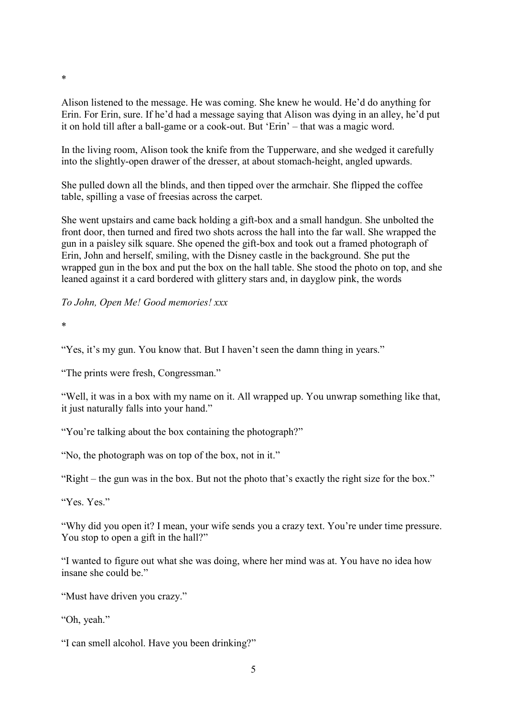Alison listened to the message. He was coming. She knew he would. He'd do anything for Erin. For Erin, sure. If he'd had a message saying that Alison was dying in an alley, he'd put it on hold till after a ball-game or a cook-out. But 'Erin' – that was a magic word.

In the living room, Alison took the knife from the Tupperware, and she wedged it carefully into the slightly-open drawer of the dresser, at about stomach-height, angled upwards.

She pulled down all the blinds, and then tipped over the armchair. She flipped the coffee table, spilling a vase of freesias across the carpet.

She went upstairs and came back holding a gift-box and a small handgun. She unbolted the front door, then turned and fired two shots across the hall into the far wall. She wrapped the gun in a paisley silk square. She opened the gift-box and took out a framed photograph of Erin, John and herself, smiling, with the Disney castle in the background. She put the wrapped gun in the box and put the box on the hall table. She stood the photo on top, and she leaned against it a card bordered with glittery stars and, in dayglow pink, the words

To John, Open Me! Good memories! xxx

\*

\*

"Yes, it's my gun. You know that. But I haven't seen the damn thing in years."

"The prints were fresh, Congressman."

"Well, it was in a box with my name on it. All wrapped up. You unwrap something like that, it just naturally falls into your hand."

"You're talking about the box containing the photograph?"

"No, the photograph was on top of the box, not in it."

"Right – the gun was in the box. But not the photo that's exactly the right size for the box."

"Yes. Yes."

"Why did you open it? I mean, your wife sends you a crazy text. You're under time pressure. You stop to open a gift in the hall?"

"I wanted to figure out what she was doing, where her mind was at. You have no idea how insane she could be."

"Must have driven you crazy."

"Oh, yeah."

"I can smell alcohol. Have you been drinking?"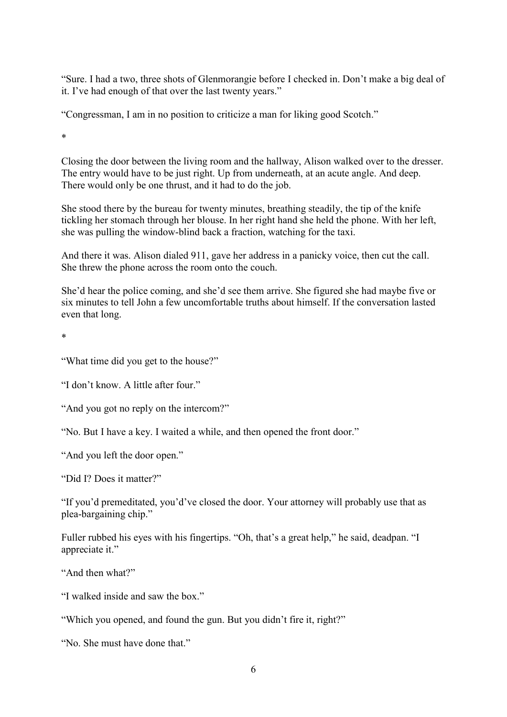"Sure. I had a two, three shots of Glenmorangie before I checked in. Don't make a big deal of it. I've had enough of that over the last twenty years."

"Congressman, I am in no position to criticize a man for liking good Scotch."

\*

Closing the door between the living room and the hallway, Alison walked over to the dresser. The entry would have to be just right. Up from underneath, at an acute angle. And deep. There would only be one thrust, and it had to do the job.

She stood there by the bureau for twenty minutes, breathing steadily, the tip of the knife tickling her stomach through her blouse. In her right hand she held the phone. With her left, she was pulling the window-blind back a fraction, watching for the taxi.

And there it was. Alison dialed 911, gave her address in a panicky voice, then cut the call. She threw the phone across the room onto the couch.

She'd hear the police coming, and she'd see them arrive. She figured she had maybe five or six minutes to tell John a few uncomfortable truths about himself. If the conversation lasted even that long.

\*

"What time did you get to the house?"

"I don't know. A little after four."

"And you got no reply on the intercom?"

"No. But I have a key. I waited a while, and then opened the front door."

"And you left the door open."

"Did I? Does it matter?"

"If you'd premeditated, you'd've closed the door. Your attorney will probably use that as plea-bargaining chip."

Fuller rubbed his eyes with his fingertips. "Oh, that's a great help," he said, deadpan. "I appreciate it."

"And then what?"

"I walked inside and saw the box."

"Which you opened, and found the gun. But you didn't fire it, right?"

"No. She must have done that."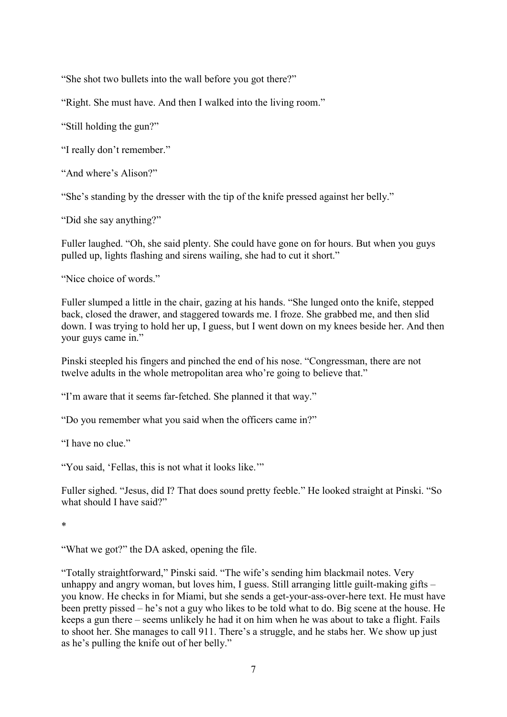"She shot two bullets into the wall before you got there?"

"Right. She must have. And then I walked into the living room."

"Still holding the gun?"

"I really don't remember."

"And where's Alison?"

"She's standing by the dresser with the tip of the knife pressed against her belly."

"Did she say anything?"

Fuller laughed. "Oh, she said plenty. She could have gone on for hours. But when you guys pulled up, lights flashing and sirens wailing, she had to cut it short."

"Nice choice of words."

Fuller slumped a little in the chair, gazing at his hands. "She lunged onto the knife, stepped back, closed the drawer, and staggered towards me. I froze. She grabbed me, and then slid down. I was trying to hold her up, I guess, but I went down on my knees beside her. And then your guys came in."

Pinski steepled his fingers and pinched the end of his nose. "Congressman, there are not twelve adults in the whole metropolitan area who're going to believe that."

"I'm aware that it seems far-fetched. She planned it that way."

"Do you remember what you said when the officers came in?"

"I have no clue."

"You said, 'Fellas, this is not what it looks like.'"

Fuller sighed. "Jesus, did I? That does sound pretty feeble." He looked straight at Pinski. "So what should I have said?"

\*

"What we got?" the DA asked, opening the file.

"Totally straightforward," Pinski said. "The wife's sending him blackmail notes. Very unhappy and angry woman, but loves him, I guess. Still arranging little guilt-making gifts – you know. He checks in for Miami, but she sends a get-your-ass-over-here text. He must have been pretty pissed – he's not a guy who likes to be told what to do. Big scene at the house. He keeps a gun there – seems unlikely he had it on him when he was about to take a flight. Fails to shoot her. She manages to call 911. There's a struggle, and he stabs her. We show up just as he's pulling the knife out of her belly."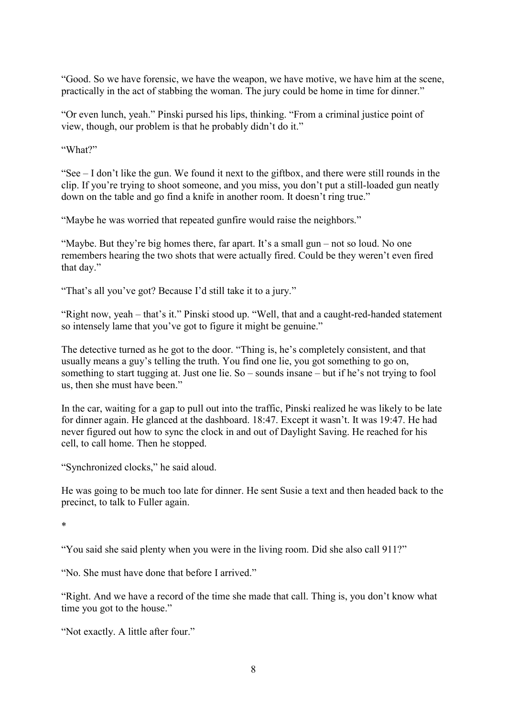"Good. So we have forensic, we have the weapon, we have motive, we have him at the scene, practically in the act of stabbing the woman. The jury could be home in time for dinner."

"Or even lunch, yeah." Pinski pursed his lips, thinking. "From a criminal justice point of view, though, our problem is that he probably didn't do it."

"What?"

"See – I don't like the gun. We found it next to the giftbox, and there were still rounds in the clip. If you're trying to shoot someone, and you miss, you don't put a still-loaded gun neatly down on the table and go find a knife in another room. It doesn't ring true."

"Maybe he was worried that repeated gunfire would raise the neighbors."

"Maybe. But they're big homes there, far apart. It's a small gun – not so loud. No one remembers hearing the two shots that were actually fired. Could be they weren't even fired that day."

"That's all you've got? Because I'd still take it to a jury."

"Right now, yeah – that's it." Pinski stood up. "Well, that and a caught-red-handed statement so intensely lame that you've got to figure it might be genuine."

The detective turned as he got to the door. "Thing is, he's completely consistent, and that usually means a guy's telling the truth. You find one lie, you got something to go on, something to start tugging at. Just one lie. So – sounds insane – but if he's not trying to fool us, then she must have been."

In the car, waiting for a gap to pull out into the traffic, Pinski realized he was likely to be late for dinner again. He glanced at the dashboard. 18:47. Except it wasn't. It was 19:47. He had never figured out how to sync the clock in and out of Daylight Saving. He reached for his cell, to call home. Then he stopped.

"Synchronized clocks," he said aloud.

He was going to be much too late for dinner. He sent Susie a text and then headed back to the precinct, to talk to Fuller again.

\*

"You said she said plenty when you were in the living room. Did she also call 911?"

"No. She must have done that before I arrived."

"Right. And we have a record of the time she made that call. Thing is, you don't know what time you got to the house."

"Not exactly. A little after four."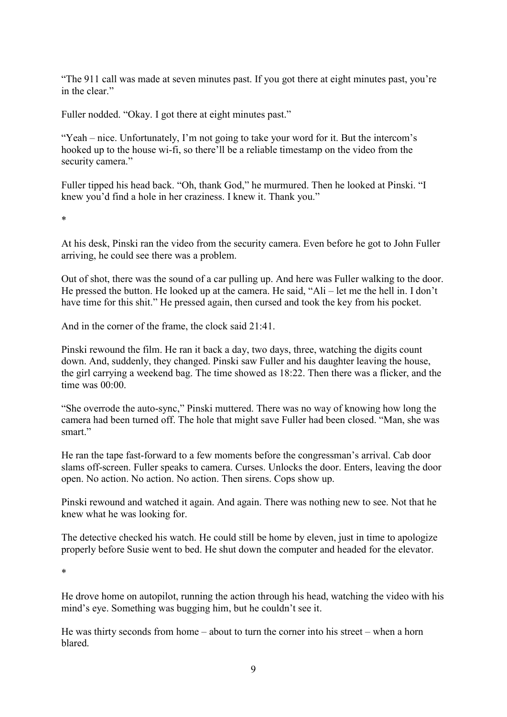"The 911 call was made at seven minutes past. If you got there at eight minutes past, you're in the clear."

Fuller nodded. "Okay. I got there at eight minutes past."

"Yeah – nice. Unfortunately, I'm not going to take your word for it. But the intercom's hooked up to the house wi-fi, so there'll be a reliable timestamp on the video from the security camera."

Fuller tipped his head back. "Oh, thank God," he murmured. Then he looked at Pinski. "I knew you'd find a hole in her craziness. I knew it. Thank you."

\*

At his desk, Pinski ran the video from the security camera. Even before he got to John Fuller arriving, he could see there was a problem.

Out of shot, there was the sound of a car pulling up. And here was Fuller walking to the door. He pressed the button. He looked up at the camera. He said, "Ali – let me the hell in. I don't have time for this shit." He pressed again, then cursed and took the key from his pocket.

And in the corner of the frame, the clock said 21:41.

Pinski rewound the film. He ran it back a day, two days, three, watching the digits count down. And, suddenly, they changed. Pinski saw Fuller and his daughter leaving the house, the girl carrying a weekend bag. The time showed as 18:22. Then there was a flicker, and the time was 00:00.

"She overrode the auto-sync," Pinski muttered. There was no way of knowing how long the camera had been turned off. The hole that might save Fuller had been closed. "Man, she was smart."

He ran the tape fast-forward to a few moments before the congressman's arrival. Cab door slams off-screen. Fuller speaks to camera. Curses. Unlocks the door. Enters, leaving the door open. No action. No action. No action. Then sirens. Cops show up.

Pinski rewound and watched it again. And again. There was nothing new to see. Not that he knew what he was looking for.

The detective checked his watch. He could still be home by eleven, just in time to apologize properly before Susie went to bed. He shut down the computer and headed for the elevator.

\*

He drove home on autopilot, running the action through his head, watching the video with his mind's eye. Something was bugging him, but he couldn't see it.

He was thirty seconds from home – about to turn the corner into his street – when a horn blared.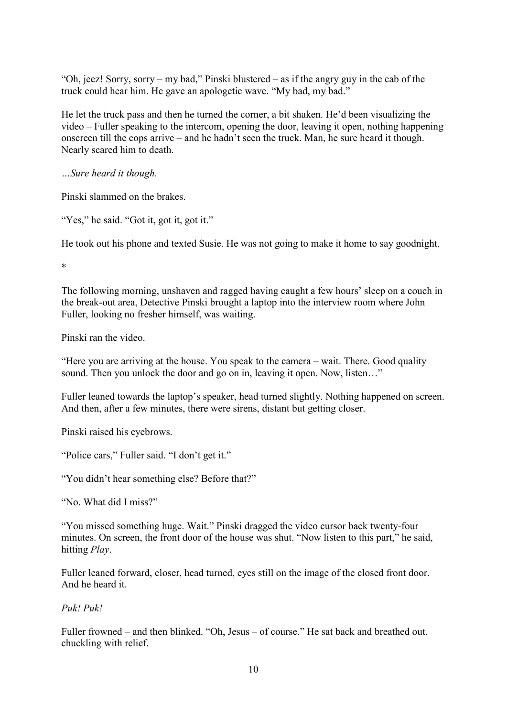"Oh, jeez! Sorry, sorry – my bad," Pinski blustered – as if the angry guy in the cab of the truck could hear him. He gave an apologetic wave. "My bad, my bad."

He let the truck pass and then he turned the corner, a bit shaken. He'd been visualizing the video – Fuller speaking to the intercom, opening the door, leaving it open, nothing happening onscreen till the cops arrive – and he hadn't seen the truck. Man, he sure heard it though. Nearly scared him to death.

…Sure heard it though.

Pinski slammed on the brakes.

"Yes," he said. "Got it, got it, got it."

He took out his phone and texted Susie. He was not going to make it home to say goodnight.

\*

The following morning, unshaven and ragged having caught a few hours' sleep on a couch in the break-out area, Detective Pinski brought a laptop into the interview room where John Fuller, looking no fresher himself, was waiting.

Pinski ran the video.

"Here you are arriving at the house. You speak to the camera – wait. There. Good quality sound. Then you unlock the door and go on in, leaving it open. Now, listen..."

Fuller leaned towards the laptop's speaker, head turned slightly. Nothing happened on screen. And then, after a few minutes, there were sirens, distant but getting closer.

Pinski raised his eyebrows.

"Police cars," Fuller said. "I don't get it."

"You didn't hear something else? Before that?"

"No. What did I miss?"

"You missed something huge. Wait." Pinski dragged the video cursor back twenty-four minutes. On screen, the front door of the house was shut. "Now listen to this part," he said, hitting Play.

Fuller leaned forward, closer, head turned, eyes still on the image of the closed front door. And he heard it.

Puk! Puk!

Fuller frowned – and then blinked. "Oh, Jesus – of course." He sat back and breathed out, chuckling with relief.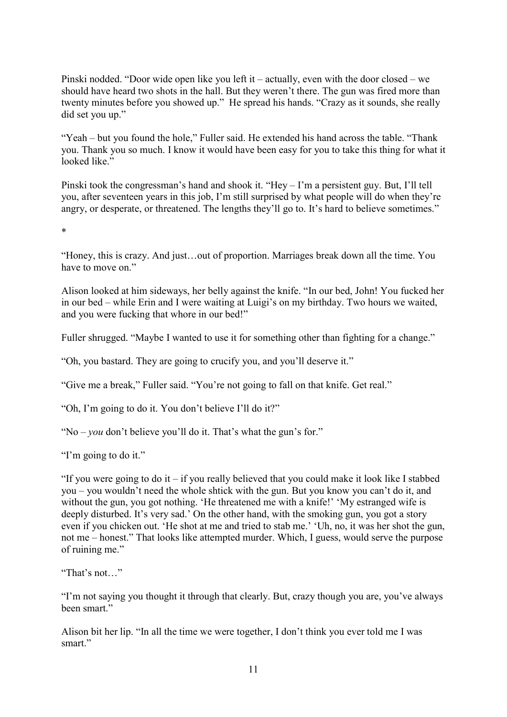Pinski nodded. "Door wide open like you left it – actually, even with the door closed – we should have heard two shots in the hall. But they weren't there. The gun was fired more than twenty minutes before you showed up." He spread his hands. "Crazy as it sounds, she really did set you up."

"Yeah – but you found the hole," Fuller said. He extended his hand across the table. "Thank you. Thank you so much. I know it would have been easy for you to take this thing for what it looked like."

Pinski took the congressman's hand and shook it. "Hey – I'm a persistent guy. But, I'll tell you, after seventeen years in this job, I'm still surprised by what people will do when they're angry, or desperate, or threatened. The lengths they'll go to. It's hard to believe sometimes."

\*

"Honey, this is crazy. And just…out of proportion. Marriages break down all the time. You have to move on."

Alison looked at him sideways, her belly against the knife. "In our bed, John! You fucked her in our bed – while Erin and I were waiting at Luigi's on my birthday. Two hours we waited, and you were fucking that whore in our bed!"

Fuller shrugged. "Maybe I wanted to use it for something other than fighting for a change."

"Oh, you bastard. They are going to crucify you, and you'll deserve it."

"Give me a break," Fuller said. "You're not going to fall on that knife. Get real."

"Oh, I'm going to do it. You don't believe I'll do it?"

"No – *you* don't believe you'll do it. That's what the gun's for."

"I'm going to do it."

"If you were going to do it – if you really believed that you could make it look like I stabbed you – you wouldn't need the whole shtick with the gun. But you know you can't do it, and without the gun, you got nothing. 'He threatened me with a knife!' 'My estranged wife is deeply disturbed. It's very sad.' On the other hand, with the smoking gun, you got a story even if you chicken out. 'He shot at me and tried to stab me.' 'Uh, no, it was her shot the gun, not me – honest." That looks like attempted murder. Which, I guess, would serve the purpose of ruining me."

"That's not…"

"I'm not saying you thought it through that clearly. But, crazy though you are, you've always been smart."

Alison bit her lip. "In all the time we were together, I don't think you ever told me I was smart."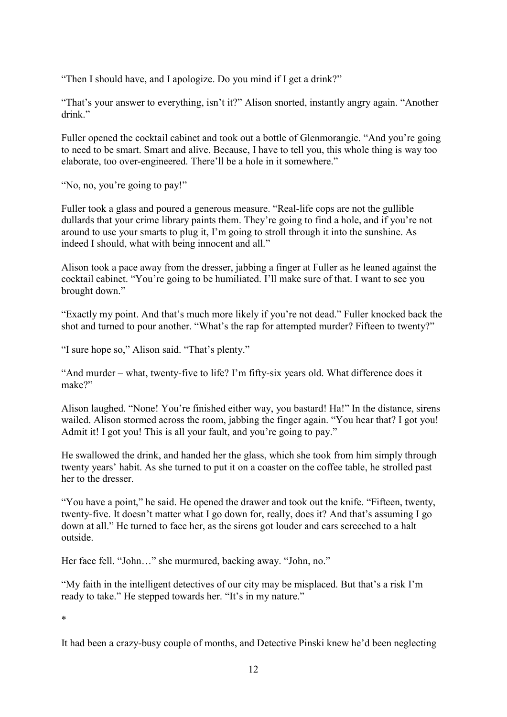"Then I should have, and I apologize. Do you mind if I get a drink?"

"That's your answer to everything, isn't it?" Alison snorted, instantly angry again. "Another drink."

Fuller opened the cocktail cabinet and took out a bottle of Glenmorangie. "And you're going to need to be smart. Smart and alive. Because, I have to tell you, this whole thing is way too elaborate, too over-engineered. There'll be a hole in it somewhere."

"No, no, you're going to pay!"

Fuller took a glass and poured a generous measure. "Real-life cops are not the gullible dullards that your crime library paints them. They're going to find a hole, and if you're not around to use your smarts to plug it, I'm going to stroll through it into the sunshine. As indeed I should, what with being innocent and all."

Alison took a pace away from the dresser, jabbing a finger at Fuller as he leaned against the cocktail cabinet. "You're going to be humiliated. I'll make sure of that. I want to see you brought down."

"Exactly my point. And that's much more likely if you're not dead." Fuller knocked back the shot and turned to pour another. "What's the rap for attempted murder? Fifteen to twenty?"

"I sure hope so," Alison said. "That's plenty."

"And murder – what, twenty-five to life? I'm fifty-six years old. What difference does it make?"

Alison laughed. "None! You're finished either way, you bastard! Ha!" In the distance, sirens wailed. Alison stormed across the room, jabbing the finger again. "You hear that? I got you! Admit it! I got you! This is all your fault, and you're going to pay."

He swallowed the drink, and handed her the glass, which she took from him simply through twenty years' habit. As she turned to put it on a coaster on the coffee table, he strolled past her to the dresser.

"You have a point," he said. He opened the drawer and took out the knife. "Fifteen, twenty, twenty-five. It doesn't matter what I go down for, really, does it? And that's assuming I go down at all." He turned to face her, as the sirens got louder and cars screeched to a halt outside.

Her face fell. "John…" she murmured, backing away. "John, no."

"My faith in the intelligent detectives of our city may be misplaced. But that's a risk I'm ready to take." He stepped towards her. "It's in my nature."

\*

It had been a crazy-busy couple of months, and Detective Pinski knew he'd been neglecting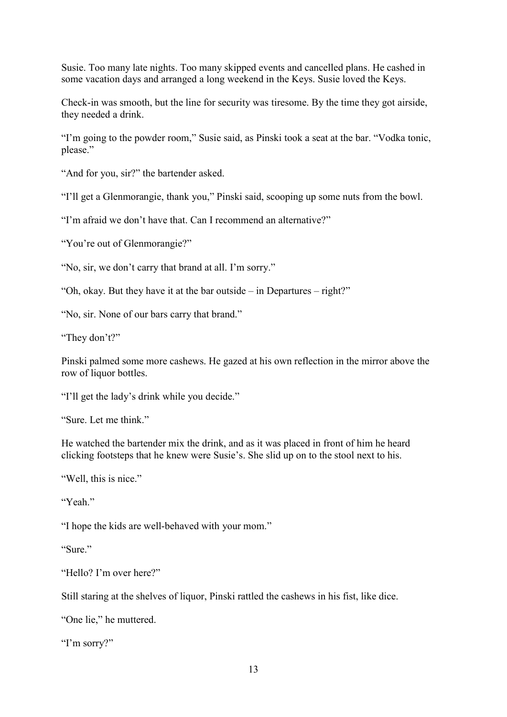Susie. Too many late nights. Too many skipped events and cancelled plans. He cashed in some vacation days and arranged a long weekend in the Keys. Susie loved the Keys.

Check-in was smooth, but the line for security was tiresome. By the time they got airside, they needed a drink.

"I'm going to the powder room," Susie said, as Pinski took a seat at the bar. "Vodka tonic, please."

"And for you, sir?" the bartender asked.

"I'll get a Glenmorangie, thank you," Pinski said, scooping up some nuts from the bowl.

"I'm afraid we don't have that. Can I recommend an alternative?"

"You're out of Glenmorangie?"

"No, sir, we don't carry that brand at all. I'm sorry."

"Oh, okay. But they have it at the bar outside – in Departures – right?"

"No, sir. None of our bars carry that brand."

"They don't?"

Pinski palmed some more cashews. He gazed at his own reflection in the mirror above the row of liquor bottles.

"I'll get the lady's drink while you decide."

"Sure. Let me think."

He watched the bartender mix the drink, and as it was placed in front of him he heard clicking footsteps that he knew were Susie's. She slid up on to the stool next to his.

"Well, this is nice."

"Yeah."

"I hope the kids are well-behaved with your mom."

"Sure."

"Hello? I'm over here?"

Still staring at the shelves of liquor, Pinski rattled the cashews in his fist, like dice.

"One lie," he muttered.

"I'm sorry?"